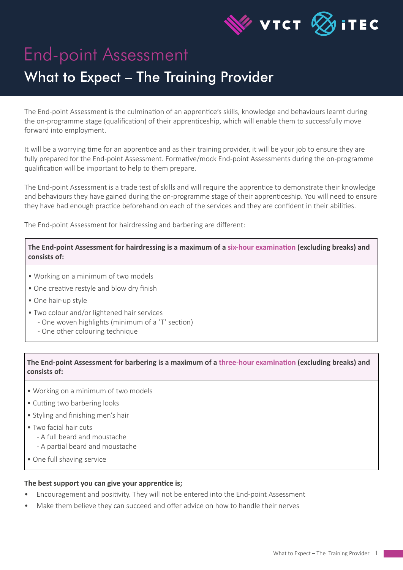

# End-point Assessment

# What to Expect – The Training Provider

The End-point Assessment is the culmination of an apprentice's skills, knowledge and behaviours learnt during the on-programme stage (qualification) of their apprenticeship, which will enable them to successfully move forward into employment.

It will be a worrying time for an apprentice and as their training provider, it will be your job to ensure they are fully prepared for the End-point Assessment. Formative/mock End-point Assessments during the on-programme qualification will be important to help to them prepare.

The End-point Assessment is a trade test of skills and will require the apprentice to demonstrate their knowledge and behaviours they have gained during the on-programme stage of their apprenticeship. You will need to ensure they have had enough practice beforehand on each of the services and they are confident in their abilities.

The End-point Assessment for hairdressing and barbering are different:

**The End-point Assessment for hairdressing is a maximum of a six-hour examination (excluding breaks) and consists of:**

- Working on a minimum of two models
- One creative restyle and blow dry finish
- One hair-up style
- Two colour and/or lightened hair services
	- One woven highlights (minimum of a 'T' section)
	- One other colouring technique

## **The End-point Assessment for barbering is a maximum of a three-hour examination (excluding breaks) and consists of:**

- Working on a minimum of two models
- Cutting two barbering looks
- Styling and finishing men's hair
- Two facial hair cuts
	- A full beard and moustache
	- A partial beard and moustache
- One full shaving service

### **The best support you can give your apprentice is;**

- Encouragement and positivity. They will not be entered into the End-point Assessment
- Make them believe they can succeed and offer advice on how to handle their nerves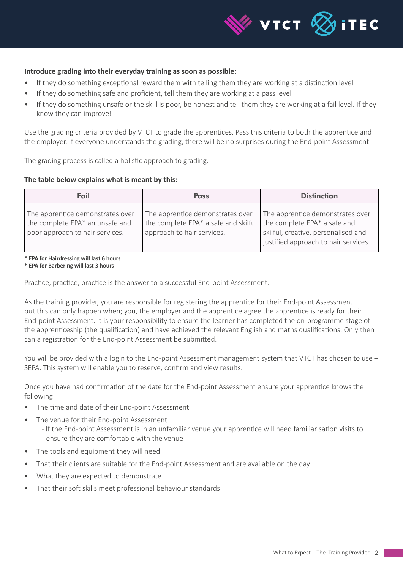

### **Introduce grading into their everyday training as soon as possible:**

- If they do something exceptional reward them with telling them they are working at a distinction level
- If they do something safe and proficient, tell them they are working at a pass level
- If they do something unsafe or the skill is poor, be honest and tell them they are working at a fail level. If they know they can improve!

Use the grading criteria provided by VTCT to grade the apprentices. Pass this criteria to both the apprentice and the employer. If everyone understands the grading, there will be no surprises during the End-point Assessment.

The grading process is called a holistic approach to grading.

#### **The table below explains what is meant by this:**

| Fail                                                                                                   | <b>Pass</b>                                                                                            | <b>Distinction</b>                                                                                                                              |
|--------------------------------------------------------------------------------------------------------|--------------------------------------------------------------------------------------------------------|-------------------------------------------------------------------------------------------------------------------------------------------------|
| The apprentice demonstrates over<br>the complete EPA* an unsafe and<br>poor approach to hair services. | The apprentice demonstrates over<br>the complete EPA* a safe and skilful<br>approach to hair services. | The apprentice demonstrates over<br>the complete EPA* a safe and<br>skilful, creative, personalised and<br>justified approach to hair services. |

**\* EPA for Hairdressing will last 6 hours**

#### **\* EPA for Barbering will last 3 hours**

Practice, practice, practice is the answer to a successful End-point Assessment.

As the training provider, you are responsible for registering the apprentice for their End-point Assessment but this can only happen when; you, the employer and the apprentice agree the apprentice is ready for their End-point Assessment. It is your responsibility to ensure the learner has completed the on-programme stage of the apprenticeship (the qualification) and have achieved the relevant English and maths qualifications. Only then can a registration for the End-point Assessment be submitted.

You will be provided with a login to the End-point Assessment management system that VTCT has chosen to use -SEPA. This system will enable you to reserve, confirm and view results.

Once you have had confirmation of the date for the End-point Assessment ensure your apprentice knows the following:

- The time and date of their End-point Assessment
- The venue for their End-point Assessment
	- If the End-point Assessment is in an unfamiliar venue your apprentice will need familiarisation visits to  ensure they are comfortable with the venue
- The tools and equipment they will need
- That their clients are suitable for the End-point Assessment and are available on the day
- What they are expected to demonstrate
- That their soft skills meet professional behaviour standards